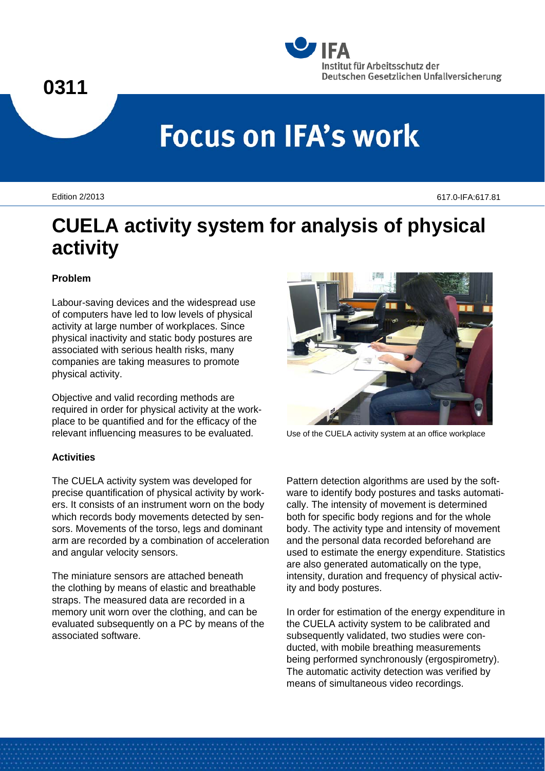

# **Focus on IFA's work**

Edition 2/2013 617.0-IFA:617.81

# **CUELA activity system for analysis of physical activity**

## **Problem**

Labour-saving devices and the widespread use of computers have led to low levels of physical activity at large number of workplaces. Since physical inactivity and static body postures are associated with serious health risks, many companies are taking measures to promote physical activity.

Objective and valid recording methods are required in order for physical activity at the workplace to be quantified and for the efficacy of the relevant influencing measures to be evaluated.

# **Activities**

The CUELA activity system was developed for precise quantification of physical activity by workers. It consists of an instrument worn on the body which records body movements detected by sensors. Movements of the torso, legs and dominant arm are recorded by a combination of acceleration and angular velocity sensors.

The miniature sensors are attached beneath the clothing by means of elastic and breathable straps. The measured data are recorded in a memory unit worn over the clothing, and can be evaluated subsequently on a PC by means of the associated software.



Use of the CUELA activity system at an office workplace

Pattern detection algorithms are used by the software to identify body postures and tasks automatically. The intensity of movement is determined both for specific body regions and for the whole body. The activity type and intensity of movement and the personal data recorded beforehand are used to estimate the energy expenditure. Statistics are also generated automatically on the type, intensity, duration and frequency of physical activity and body postures.

In order for estimation of the energy expenditure in the CUELA activity system to be calibrated and subsequently validated, two studies were conducted, with mobile breathing measurements being performed synchronously (ergospirometry). The automatic activity detection was verified by means of simultaneous video recordings.